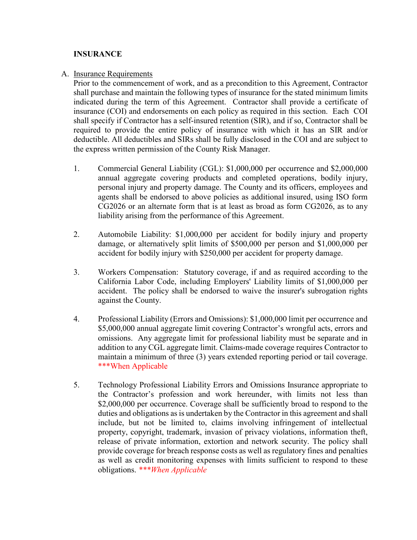## **INSURANCE**

## A. Insurance Requirements

Prior to the commencement of work, and as a precondition to this Agreement, Contractor shall purchase and maintain the following types of insurance for the stated minimum limits indicated during the term of this Agreement. Contractor shall provide a certificate of insurance (COI) and endorsements on each policy as required in this section. Each COI shall specify if Contractor has a self-insured retention (SIR), and if so, Contractor shall be required to provide the entire policy of insurance with which it has an SIR and/or deductible. All deductibles and SIRs shall be fully disclosed in the COI and are subject to the express written permission of the County Risk Manager.

- 1. Commercial General Liability (CGL): \$1,000,000 per occurrence and \$2,000,000 annual aggregate covering products and completed operations, bodily injury, personal injury and property damage. The County and its officers, employees and agents shall be endorsed to above policies as additional insured, using ISO form CG2026 or an alternate form that is at least as broad as form CG2026, as to any liability arising from the performance of this Agreement.
- 2. Automobile Liability: \$1,000,000 per accident for bodily injury and property damage, or alternatively split limits of \$500,000 per person and \$1,000,000 per accident for bodily injury with \$250,000 per accident for property damage.
- 3. Workers Compensation: Statutory coverage, if and as required according to the California Labor Code, including Employers' Liability limits of \$1,000,000 per accident. The policy shall be endorsed to waive the insurer's subrogation rights against the County.
- 4. Professional Liability (Errors and Omissions): \$1,000,000 limit per occurrence and \$5,000,000 annual aggregate limit covering Contractor's wrongful acts, errors and omissions. Any aggregate limit for professional liability must be separate and in addition to any CGL aggregate limit. Claims-made coverage requires Contractor to maintain a minimum of three (3) years extended reporting period or tail coverage. \*\*\*When Applicable
- 5. Technology Professional Liability Errors and Omissions Insurance appropriate to the Contractor's profession and work hereunder, with limits not less than \$2,000,000 per occurrence. Coverage shall be sufficiently broad to respond to the duties and obligations as is undertaken by the Contractor in this agreement and shall include, but not be limited to, claims involving infringement of intellectual property, copyright, trademark, invasion of privacy violations, information theft, release of private information, extortion and network security. The policy shall provide coverage for breach response costs as well as regulatory fines and penalties as well as credit monitoring expenses with limits sufficient to respond to these obligations. *\*\*\*When Applicable*